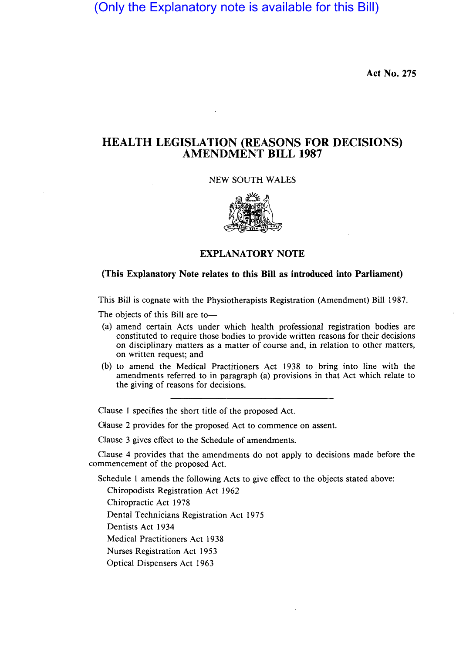(Only the Explanatory note is available for this Bill)

Act No. 275

## HEALTH LEGISLATION (REASONS FOR DECISIONS) AMENDMENT BILL 1987

## NEW SOUTH WALES



## EXPLANATORY NOTE

## (This Explanatory Note relates to this Bill as introduced into Parliament)

This Bill is cognate with the Physiotherapists Registration (Amendment) Bill 1987.

The objects of this Bill are to-

- (a) amend certain Acts under which health professional registration bodies are constituted to require those bodies to provide written reasons for their decisions on disciplinary matters as a matter of course and, in relation to other matters, on written request; and
- (b) to amend the Medical Practitioners Act 1938 to bring into line with the amendments referred to in paragraph (a) provisions in that Act which relate to the giving of reasons for decisions.

Clause 1 specifies the short title of the proposed Act.

Oause 2 provides for the proposed Act to commence on assent.

Clause 3 gives effect to the Schedule of amendments.

Clause 4 provides that the amendments do not apply to decisions made before the commencement of the proposed Act.

Schedule 1 amends the following Acts to give effect to the objects stated above:

Chiropodists Registration Act 1962

Chiropractic Act 1978

Dental Technicians Registration Act 1975

Dentists Act 1934

Medical Practitioners Act 1938

Nurses Registration Act 1953

Optical Dispensers Act 1963